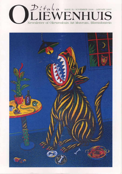

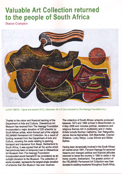## **Valuable Art Collection returned** to the people of South Africa

**Sharon Crampton** 



LUCKY SIBIYA - Figure and animal (1973), silkscreen, 64 x 57,5cm (donated by The Haenggi Foundation Inc.)

Thanks to the vision and financial backing of the Department of Arts and Culture, Oliewenhuis Art Museum has received from The Haenggi Foundation Incorporated a major donation of 228 artworks by South African artists, which formed part of the original PELMAMA Permanent Art Collection. As a result of funding received from the Department of Arts and Culture, covering the costs relating to packing, transport and insurance from Basel, Switzerland to South Africa, it was agreed that all the works which had previously been on temporary loan to Oliewenhuis Art Museum from The Haenggi Foundation Incorporated would henceforth be considered as an outright donation to the Museum. The collection of works donated, represents the largest single donation of artworks that this Museum has ever received.

The collection of South African artworks produced between 1970 and 1980 arrived in Bloemfontein on 4 May 2006 and includes political, resistance and religious themes rich in multiplicity and in media. Artists include Norman Catherine, Dan Rakgoathe, James Serole Mphahlele, Dirk Meerkotter, Cyprian Shilakoe, Lucky Sibiya, Lucas Sithole and Walter **Battiss** 

Having been dynamically involved in the South African art market since 1961. Fernand Haenggi for personal reasons and changed political and financial attitudes resolved to leave the country in 1993 to settle in his home country, Switzerland. The greater portion of the PELMAMA Permanent Art Collection was then donated to existing museums throughout South Africa,